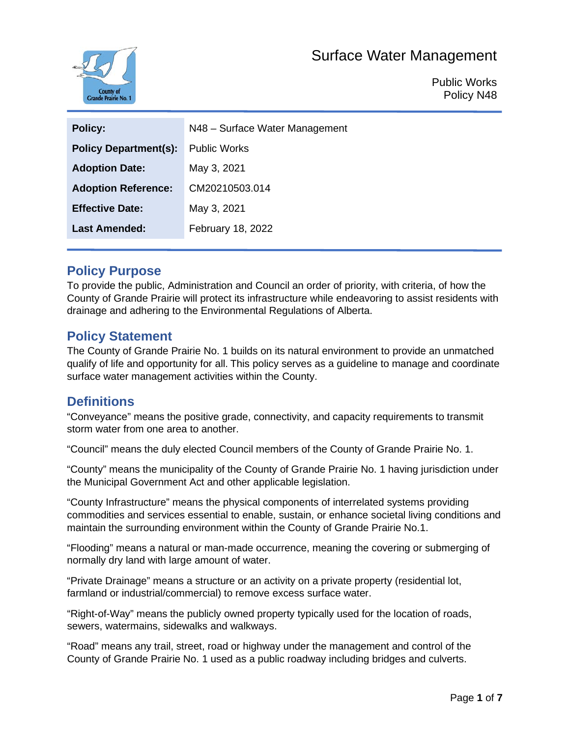

Public Works Policy N48

| <b>Policy:</b>               | N48 - Surface Water Management |
|------------------------------|--------------------------------|
| <b>Policy Department(s):</b> | <b>Public Works</b>            |
| <b>Adoption Date:</b>        | May 3, 2021                    |
| <b>Adoption Reference:</b>   | CM20210503.014                 |
| <b>Effective Date:</b>       | May 3, 2021                    |
| <b>Last Amended:</b>         | February 18, 2022              |
|                              |                                |

### **Policy Purpose**

To provide the public, Administration and Council an order of priority, with criteria, of how the County of Grande Prairie will protect its infrastructure while endeavoring to assist residents with drainage and adhering to the Environmental Regulations of Alberta.

### **Policy Statement**

The County of Grande Prairie No. 1 builds on its natural environment to provide an unmatched qualify of life and opportunity for all. This policy serves as a guideline to manage and coordinate surface water management activities within the County.

### **Definitions**

"Conveyance" means the positive grade, connectivity, and capacity requirements to transmit storm water from one area to another.

"Council" means the duly elected Council members of the County of Grande Prairie No. 1.

"County" means the municipality of the County of Grande Prairie No. 1 having jurisdiction under the Municipal Government Act and other applicable legislation.

"County Infrastructure" means the physical components of interrelated systems providing commodities and services essential to enable, sustain, or enhance societal living conditions and maintain the surrounding environment within the County of Grande Prairie No.1.

"Flooding" means a natural or man-made occurrence, meaning the covering or submerging of normally dry land with large amount of water.

"Private Drainage" means a structure or an activity on a private property (residential lot, farmland or industrial/commercial) to remove excess surface water.

"Right-of-Way" means the publicly owned property typically used for the location of roads, sewers, watermains, sidewalks and walkways.

"Road" means any trail, street, road or highway under the management and control of the County of Grande Prairie No. 1 used as a public roadway including bridges and culverts.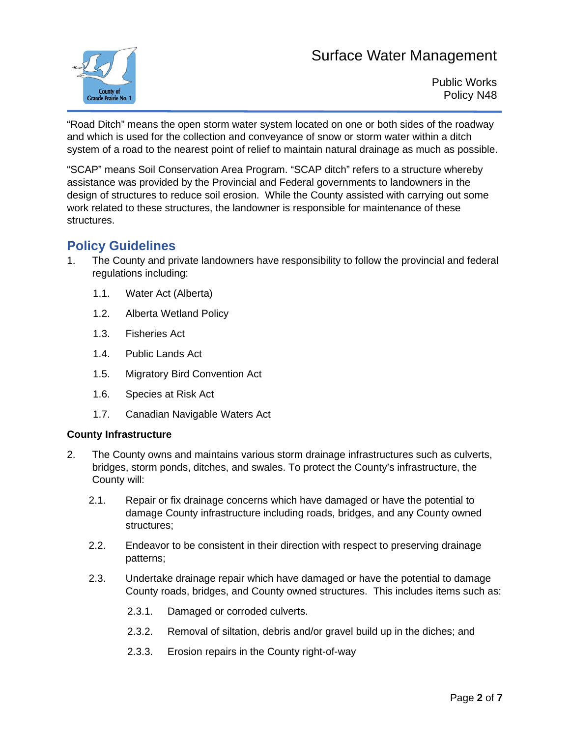

Public Works Policy N48

"Road Ditch" means the open storm water system located on one or both sides of the roadway and which is used for the collection and conveyance of snow or storm water within a ditch system of a road to the nearest point of relief to maintain natural drainage as much as possible.

"SCAP" means Soil Conservation Area Program. "SCAP ditch" refers to a structure whereby assistance was provided by the Provincial and Federal governments to landowners in the design of structures to reduce soil erosion. While the County assisted with carrying out some work related to these structures, the landowner is responsible for maintenance of these structures.

### **Policy Guidelines**

- 1. The County and private landowners have responsibility to follow the provincial and federal regulations including:
	- 1.1. Water Act (Alberta)
	- 1.2. Alberta Wetland Policy
	- 1.3. Fisheries Act
	- 1.4. Public Lands Act
	- 1.5. Migratory Bird Convention Act
	- 1.6. Species at Risk Act
	- 1.7. Canadian Navigable Waters Act

#### **County Infrastructure**

- 2. The County owns and maintains various storm drainage infrastructures such as culverts, bridges, storm ponds, ditches, and swales. To protect the County's infrastructure, the County will:
	- 2.1. Repair or fix drainage concerns which have damaged or have the potential to damage County infrastructure including roads, bridges, and any County owned structures;
	- 2.2. Endeavor to be consistent in their direction with respect to preserving drainage patterns;
	- 2.3. Undertake drainage repair which have damaged or have the potential to damage County roads, bridges, and County owned structures. This includes items such as:
		- 2.3.1. Damaged or corroded culverts.
		- 2.3.2. Removal of siltation, debris and/or gravel build up in the diches; and
		- 2.3.3. Erosion repairs in the County right-of-way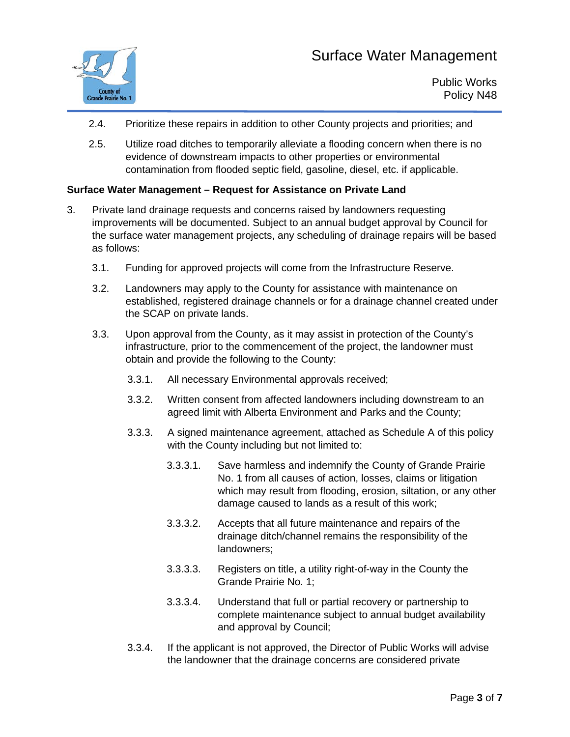

- 2.4. Prioritize these repairs in addition to other County projects and priorities; and
- 2.5. Utilize road ditches to temporarily alleviate a flooding concern when there is no evidence of downstream impacts to other properties or environmental contamination from flooded septic field, gasoline, diesel, etc. if applicable.

#### **Surface Water Management – Request for Assistance on Private Land**

- 3. Private land drainage requests and concerns raised by landowners requesting improvements will be documented. Subject to an annual budget approval by Council for the surface water management projects, any scheduling of drainage repairs will be based as follows:
	- 3.1. Funding for approved projects will come from the Infrastructure Reserve.
	- 3.2. Landowners may apply to the County for assistance with maintenance on established, registered drainage channels or for a drainage channel created under the SCAP on private lands.
	- 3.3. Upon approval from the County, as it may assist in protection of the County's infrastructure, prior to the commencement of the project, the landowner must obtain and provide the following to the County:
		- 3.3.1. All necessary Environmental approvals received;
		- 3.3.2. Written consent from affected landowners including downstream to an agreed limit with Alberta Environment and Parks and the County;
		- 3.3.3. A signed maintenance agreement, attached as Schedule A of this policy with the County including but not limited to:
			- 3.3.3.1. Save harmless and indemnify the County of Grande Prairie No. 1 from all causes of action, losses, claims or litigation which may result from flooding, erosion, siltation, or any other damage caused to lands as a result of this work;
			- 3.3.3.2. Accepts that all future maintenance and repairs of the drainage ditch/channel remains the responsibility of the landowners;
			- 3.3.3.3. Registers on title, a utility right-of-way in the County the Grande Prairie No. 1;
			- 3.3.3.4. Understand that full or partial recovery or partnership to complete maintenance subject to annual budget availability and approval by Council;
		- 3.3.4. If the applicant is not approved, the Director of Public Works will advise the landowner that the drainage concerns are considered private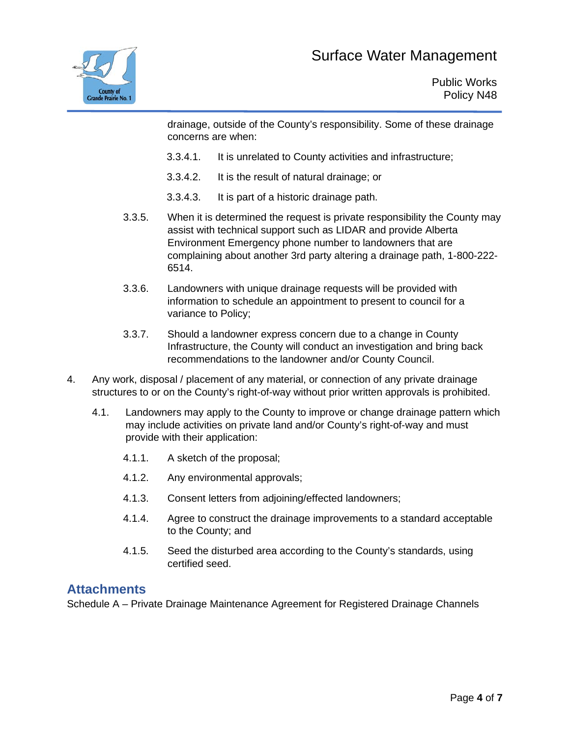

drainage, outside of the County's responsibility. Some of these drainage concerns are when:

- 3.3.4.1. It is unrelated to County activities and infrastructure;
- 3.3.4.2. It is the result of natural drainage; or
- 3.3.4.3. It is part of a historic drainage path.
- 3.3.5. When it is determined the request is private responsibility the County may assist with technical support such as LIDAR and provide Alberta Environment Emergency phone number to landowners that are complaining about another 3rd party altering a drainage path, 1-800-222- 6514.
- 3.3.6. Landowners with unique drainage requests will be provided with information to schedule an appointment to present to council for a variance to Policy;
- 3.3.7. Should a landowner express concern due to a change in County Infrastructure, the County will conduct an investigation and bring back recommendations to the landowner and/or County Council.
- 4. Any work, disposal / placement of any material, or connection of any private drainage structures to or on the County's right-of-way without prior written approvals is prohibited.
	- 4.1. Landowners may apply to the County to improve or change drainage pattern which may include activities on private land and/or County's right-of-way and must provide with their application:
		- 4.1.1. A sketch of the proposal;
		- 4.1.2. Any environmental approvals;
		- 4.1.3. Consent letters from adjoining/effected landowners;
		- 4.1.4. Agree to construct the drainage improvements to a standard acceptable to the County; and
		- 4.1.5. Seed the disturbed area according to the County's standards, using certified seed.

### **Attachments**

Schedule A – Private Drainage Maintenance Agreement for Registered Drainage Channels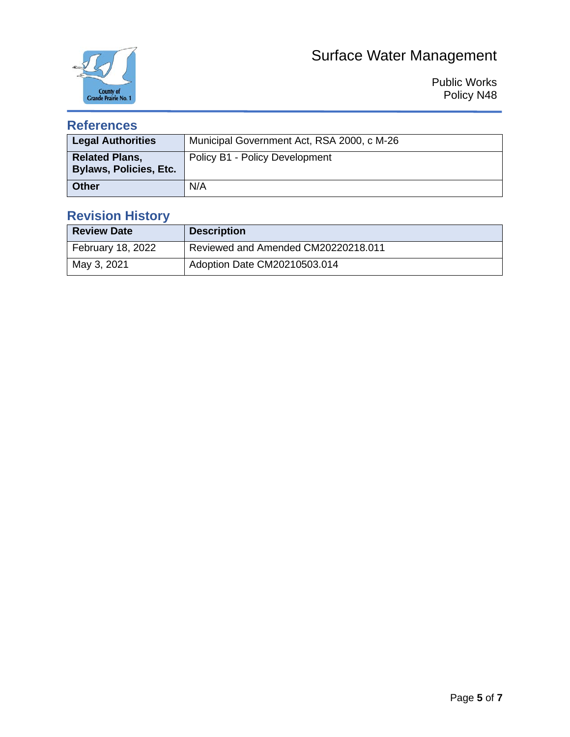

Public Works Policy N48

### **References**

| <b>Legal Authorities</b>                               | Municipal Government Act, RSA 2000, c M-26 |
|--------------------------------------------------------|--------------------------------------------|
| <b>Related Plans,</b><br><b>Bylaws, Policies, Etc.</b> | Policy B1 - Policy Development             |
| <b>Other</b>                                           | N/A                                        |

### **Revision History**

| <b>Review Date</b> | <b>Description</b>                  |
|--------------------|-------------------------------------|
| February 18, 2022  | Reviewed and Amended CM20220218.011 |
| May 3, 2021        | Adoption Date CM20210503.014        |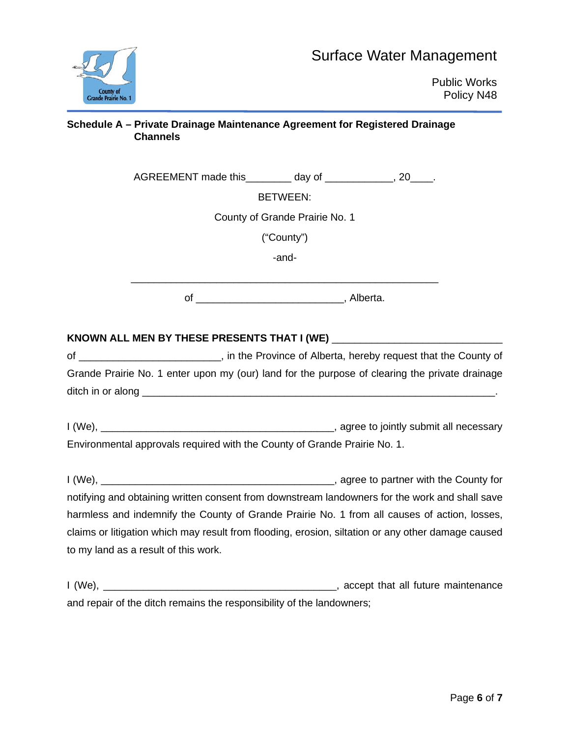| <b>County of<br/>Grande Prairie No. 1</b> |
|-------------------------------------------|

#### **Schedule A – Private Drainage Maintenance Agreement for Registered Drainage Channels**

AGREEMENT made this day of \_\_\_\_\_\_\_\_\_, 20\_\_\_.

BETWEEN:

County of Grande Prairie No. 1

("County")

-and-

of \_\_\_\_\_\_\_\_\_\_\_\_\_\_\_\_\_\_\_\_\_\_\_\_\_\_, Alberta.

#### KNOWN ALL MEN BY THESE PRESENTS THAT I (WE)

of \_\_\_\_\_\_\_\_\_\_\_\_\_\_\_\_\_\_\_\_\_\_\_\_\_, in the Province of Alberta, hereby request that the County of Grande Prairie No. 1 enter upon my (our) land for the purpose of clearing the private drainage ditch in or along \_\_\_\_\_\_\_\_\_\_\_\_\_\_\_\_\_\_\_\_\_\_\_\_\_\_\_\_\_\_\_\_\_\_\_\_\_\_\_\_\_\_\_\_\_\_\_\_\_\_\_\_\_\_\_\_\_\_\_\_\_\_.

I (We), \_\_\_\_\_\_\_\_\_\_\_\_\_\_\_\_\_\_\_\_\_\_\_\_\_\_\_\_\_\_\_\_\_\_\_\_\_\_\_\_\_, agree to jointly submit all necessary Environmental approvals required with the County of Grande Prairie No. 1.

I (We), **I** (We), notifying and obtaining written consent from downstream landowners for the work and shall save harmless and indemnify the County of Grande Prairie No. 1 from all causes of action, losses, claims or litigation which may result from flooding, erosion, siltation or any other damage caused to my land as a result of this work.

I (We), \_\_\_\_\_\_\_\_\_\_\_\_\_\_\_\_\_\_\_\_\_\_\_\_\_\_\_\_\_\_\_\_\_\_\_\_\_\_\_\_\_, accept that all future maintenance and repair of the ditch remains the responsibility of the landowners;